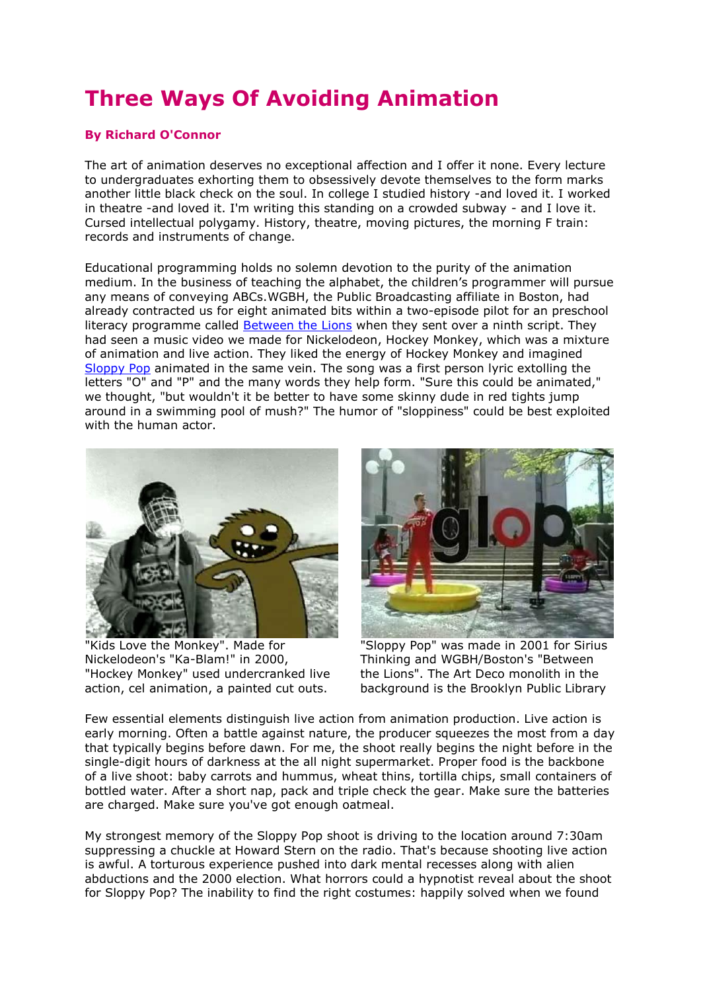## **Three Ways Of Avoiding Animation**

## **By Richard O'Connor**

The art of animation deserves no exceptional affection and I offer it none. Every lecture to undergraduates exhorting them to obsessively devote themselves to the form marks another little black check on the soul. In college I studied history -and loved it. I worked in theatre -and loved it. I'm writing this standing on a crowded subway - and I love it. Cursed intellectual polygamy. History, theatre, moving pictures, the morning F train: records and instruments of change.

Educational programming holds no solemn devotion to the purity of the animation medium. In the business of teaching the alphabet, the children's programmer will pursue any means of conveying ABCs.WGBH, the Public Broadcasting affiliate in Boston, had already contracted us for eight animated bits within a two-episode pilot for an preschool literacy programme called **Between the Lions** when they sent over a ninth script. They had seen a music video we made for Nickelodeon, Hockey Monkey, which was a mixture of animation and live action. They liked the energy of Hockey Monkey and imagined [Sloppy Pop](http://people.brunel.ac.uk/~acsrrrm/entertext/4_1/conner/sloppy.mov) animated in the same vein. The song was a first person lyric extolling the letters "O" and "P" and the many words they help form. "Sure this could be animated," we thought, "but wouldn't it be better to have some skinny dude in red tights jump around in a swimming pool of mush?" The humor of "sloppiness" could be best exploited with the human actor.



"Kids Love the Monkey". Made for Nickelodeon's "Ka-Blam!" in 2000, "Hockey Monkey" used undercranked live action, cel animation, a painted cut outs.



"Sloppy Pop" was made in 2001 for Sirius Thinking and WGBH/Boston's "Between the Lions". The Art Deco monolith in the background is the Brooklyn Public Library

Few essential elements distinguish live action from animation production. Live action is early morning. Often a battle against nature, the producer squeezes the most from a day that typically begins before dawn. For me, the shoot really begins the night before in the single-digit hours of darkness at the all night supermarket. Proper food is the backbone of a live shoot: baby carrots and hummus, wheat thins, tortilla chips, small containers of bottled water. After a short nap, pack and triple check the gear. Make sure the batteries are charged. Make sure you've got enough oatmeal.

My strongest memory of the Sloppy Pop shoot is driving to the location around 7:30am suppressing a chuckle at Howard Stern on the radio. That's because shooting live action is awful. A torturous experience pushed into dark mental recesses along with alien abductions and the 2000 election. What horrors could a hypnotist reveal about the shoot for Sloppy Pop? The inability to find the right costumes: happily solved when we found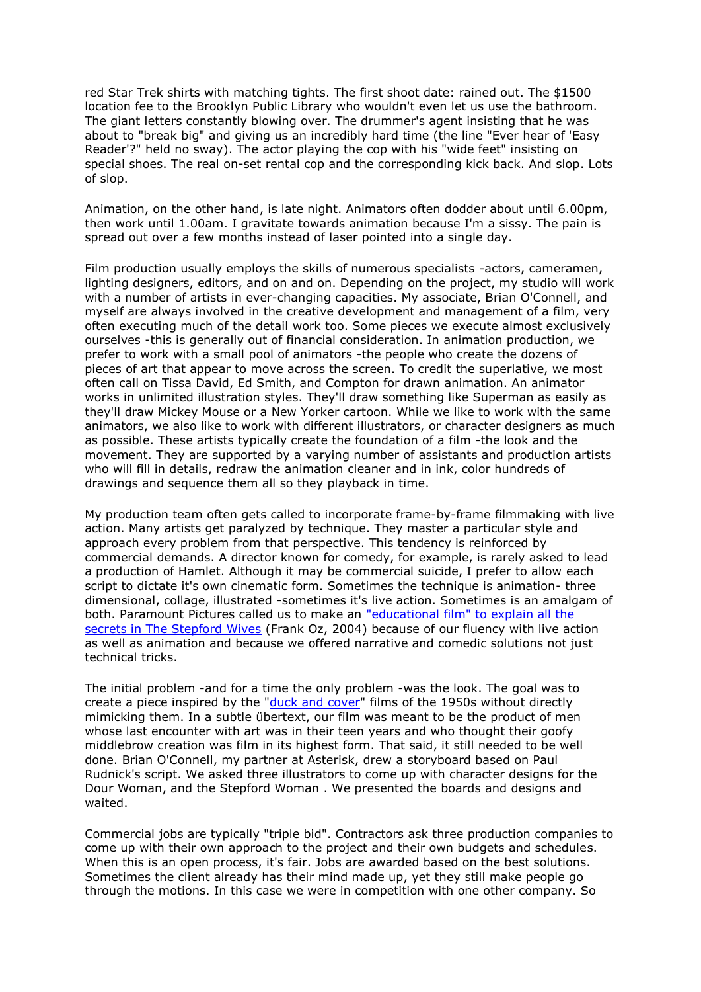red Star Trek shirts with matching tights. The first shoot date: rained out. The \$1500 location fee to the Brooklyn Public Library who wouldn't even let us use the bathroom. The giant letters constantly blowing over. The drummer's agent insisting that he was about to "break big" and giving us an incredibly hard time (the line "Ever hear of 'Easy Reader'?" held no sway). The actor playing the cop with his "wide feet" insisting on special shoes. The real on-set rental cop and the corresponding kick back. And slop. Lots of slop.

Animation, on the other hand, is late night. Animators often dodder about until 6.00pm, then work until 1.00am. I gravitate towards animation because I'm a sissy. The pain is spread out over a few months instead of laser pointed into a single day.

Film production usually employs the skills of numerous specialists -actors, cameramen, lighting designers, editors, and on and on. Depending on the project, my studio will work with a number of artists in ever-changing capacities. My associate, Brian O'Connell, and myself are always involved in the creative development and management of a film, very often executing much of the detail work too. Some pieces we execute almost exclusively ourselves -this is generally out of financial consideration. In animation production, we prefer to work with a small pool of animators -the people who create the dozens of pieces of art that appear to move across the screen. To credit the superlative, we most often call on Tissa David, Ed Smith, and Compton for drawn animation. An animator works in unlimited illustration styles. They'll draw something like Superman as easily as they'll draw Mickey Mouse or a New Yorker cartoon. While we like to work with the same animators, we also like to work with different illustrators, or character designers as much as possible. These artists typically create the foundation of a film -the look and the movement. They are supported by a varying number of assistants and production artists who will fill in details, redraw the animation cleaner and in ink, color hundreds of drawings and sequence them all so they playback in time.

My production team often gets called to incorporate frame-by-frame filmmaking with live action. Many artists get paralyzed by technique. They master a particular style and approach every problem from that perspective. This tendency is reinforced by commercial demands. A director known for comedy, for example, is rarely asked to lead a production of Hamlet. Although it may be commercial suicide, I prefer to allow each script to dictate it's own cinematic form. Sometimes the technique is animation- three dimensional, collage, illustrated -sometimes it's live action. Sometimes is an amalgam of both. Paramount Pictures called us to make an "educational film" to explain all the [secrets in The Stepford Wives](http://www2.brunel.ac.uk/editor/about/acad/sa/artresearch/entertext/issues/entertext4_1/steprough1.mov) (Frank Oz, 2004) because of our fluency with live action as well as animation and because we offered narrative and comedic solutions not just technical tricks.

The initial problem -and for a time the only problem -was the look. The goal was to create a piece inspired by the ["duck and cover"](http://www.archive.org/movies/thumbnails.php?id=372&PHPSESSID=3758ee834fcc05d4de992948fd18c934) films of the 1950s without directly mimicking them. In a subtle übertext, our film was meant to be the product of men whose last encounter with art was in their teen years and who thought their goofy middlebrow creation was film in its highest form. That said, it still needed to be well done. Brian O'Connell, my partner at Asterisk, drew a storyboard based on Paul Rudnick's script. We asked three illustrators to come up with character designs for the Dour Woman, and the Stepford Woman . We presented the boards and designs and waited.

Commercial jobs are typically "triple bid". Contractors ask three production companies to come up with their own approach to the project and their own budgets and schedules. When this is an open process, it's fair. Jobs are awarded based on the best solutions. Sometimes the client already has their mind made up, yet they still make people go through the motions. In this case we were in competition with one other company. So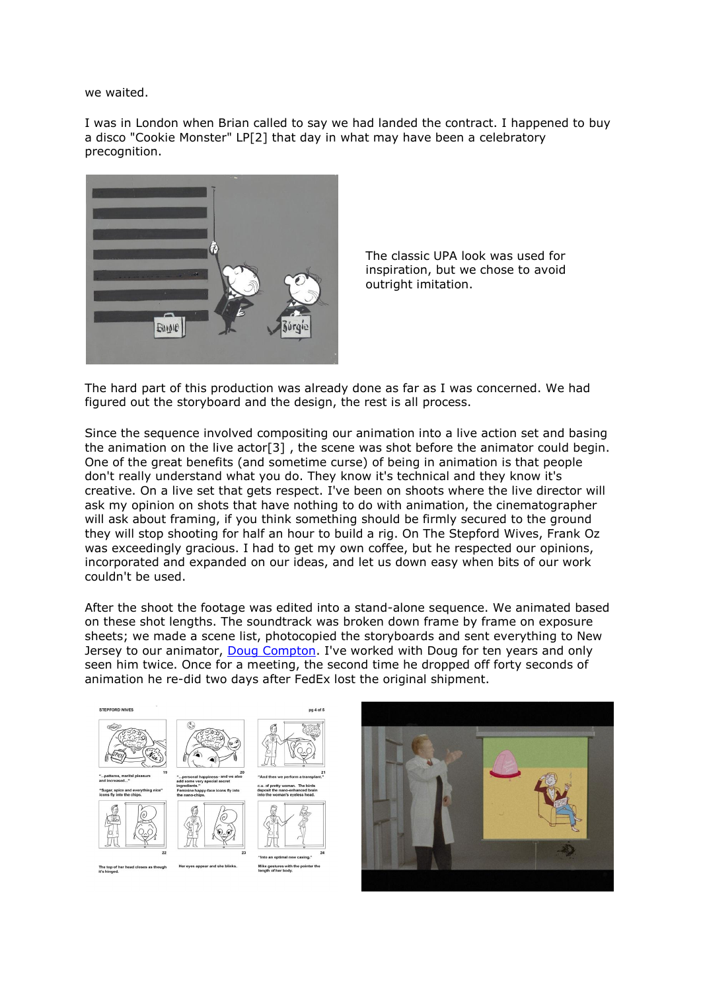we waited.

I was in London when Brian called to say we had landed the contract. I happened to buy a disco "Cookie Monster" LP[2] that day in what may have been a celebratory precognition.



The classic UPA look was used for inspiration, but we chose to avoid outright imitation.

The hard part of this production was already done as far as I was concerned. We had figured out the storyboard and the design, the rest is all process.

Since the sequence involved compositing our animation into a live action set and basing the animation on the live actor[3] , the scene was shot before the animator could begin. One of the great benefits (and sometime curse) of being in animation is that people don't really understand what you do. They know it's technical and they know it's creative. On a live set that gets respect. I've been on shoots where the live director will ask my opinion on shots that have nothing to do with animation, the cinematographer will ask about framing, if you think something should be firmly secured to the ground they will stop shooting for half an hour to build a rig. On The Stepford Wives, Frank Oz was exceedingly gracious. I had to get my own coffee, but he respected our opinions, incorporated and expanded on our ideas, and let us down easy when bits of our work couldn't be used.

After the shoot the footage was edited into a stand-alone sequence. We animated based on these shot lengths. The soundtrack was broken down frame by frame on exposure sheets; we made a scene list, photocopied the storyboards and sent everything to New Jersey to our animator, [Doug Compton.](http://karmatoons.com/) I've worked with Doug for ten years and only seen him twice. Once for a meeting, the second time he dropped off forty seconds of animation he re-did two days after FedEx lost the original shipment.



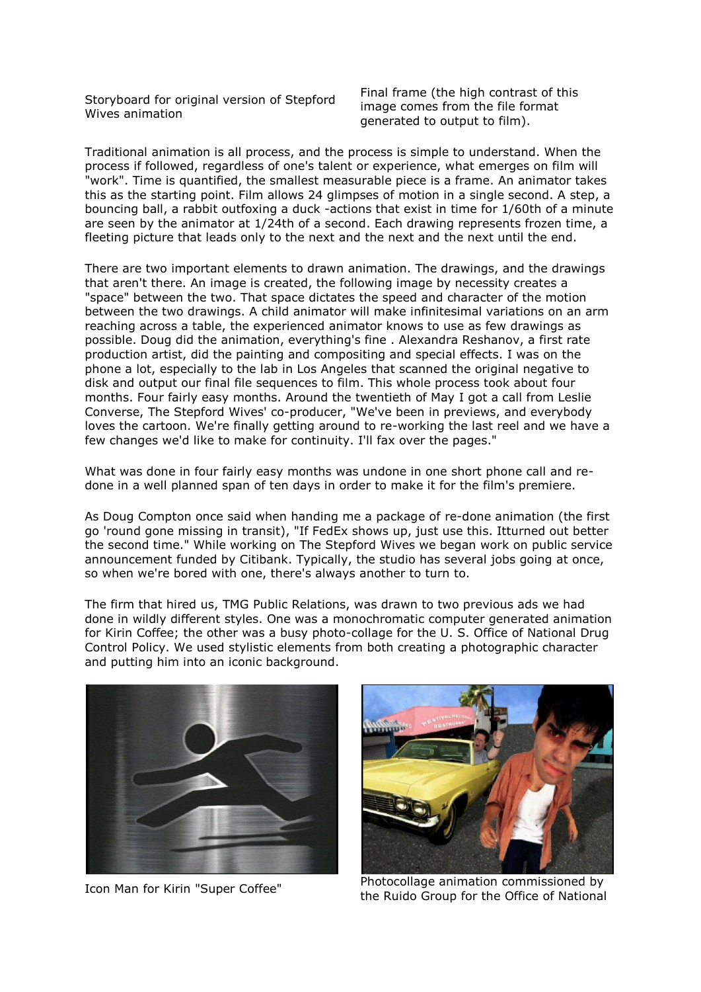Storyboard for original version of Stepford Wives animation

Final frame (the high contrast of this image comes from the file format generated to output to film).

Traditional animation is all process, and the process is simple to understand. When the process if followed, regardless of one's talent or experience, what emerges on film will "work". Time is quantified, the smallest measurable piece is a frame. An animator takes this as the starting point. Film allows 24 glimpses of motion in a single second. A step, a bouncing ball, a rabbit outfoxing a duck -actions that exist in time for 1/60th of a minute are seen by the animator at 1/24th of a second. Each drawing represents frozen time, a fleeting picture that leads only to the next and the next and the next until the end.

There are two important elements to drawn animation. The drawings, and the drawings that aren't there. An image is created, the following image by necessity creates a "space" between the two. That space dictates the speed and character of the motion between the two drawings. A child animator will make infinitesimal variations on an arm reaching across a table, the experienced animator knows to use as few drawings as possible. Doug did the animation, everything's fine . Alexandra Reshanov, a first rate production artist, did the painting and compositing and special effects. I was on the phone a lot, especially to the lab in Los Angeles that scanned the original negative to disk and output our final file sequences to film. This whole process took about four months. Four fairly easy months. Around the twentieth of May I got a call from Leslie Converse, The Stepford Wives' co-producer, "We've been in previews, and everybody loves the cartoon. We're finally getting around to re-working the last reel and we have a few changes we'd like to make for continuity. I'll fax over the pages."

What was done in four fairly easy months was undone in one short phone call and redone in a well planned span of ten days in order to make it for the film's premiere.

As Doug Compton once said when handing me a package of re-done animation (the first go 'round gone missing in transit), "If FedEx shows up, just use this. Itturned out better the second time." While working on The Stepford Wives we began work on public service announcement funded by Citibank. Typically, the studio has several jobs going at once, so when we're bored with one, there's always another to turn to.

The firm that hired us, TMG Public Relations, was drawn to two previous ads we had done in wildly different styles. One was a monochromatic computer generated animation for Kirin Coffee; the other was a busy photo-collage for the U. S. Office of National Drug Control Policy. We used stylistic elements from both creating a photographic character and putting him into an iconic background.





Icon Man for Kirin "Super Coffee" Photocollage animation commissioned by the Ruido Group for the Office of National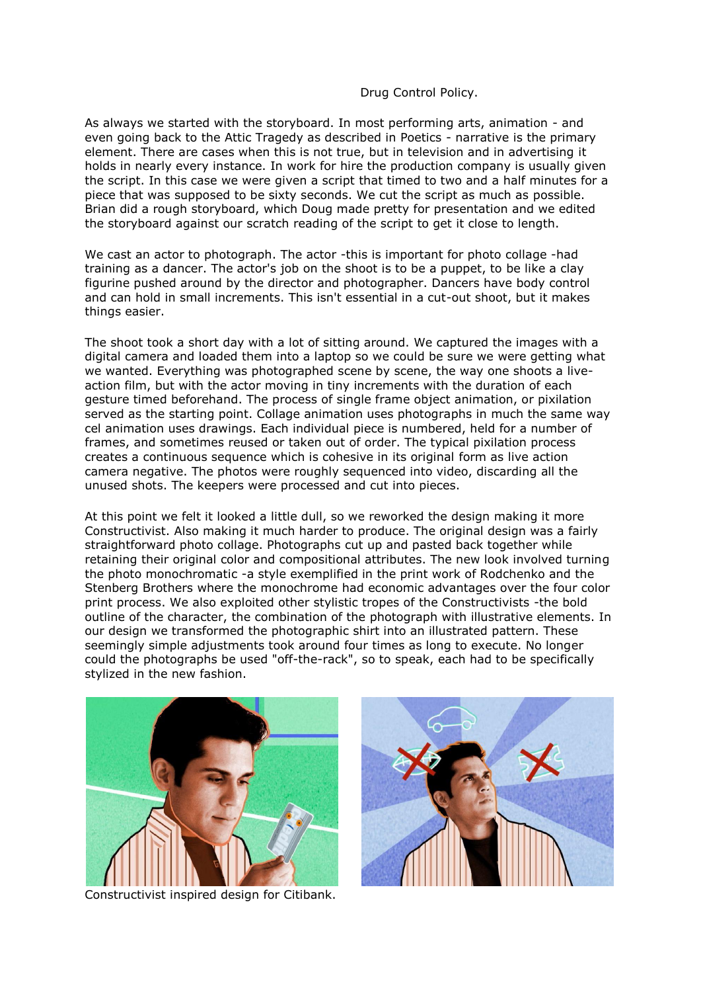## Drug Control Policy.

As always we started with the storyboard. In most performing arts, animation - and even going back to the Attic Tragedy as described in Poetics - narrative is the primary element. There are cases when this is not true, but in television and in advertising it holds in nearly every instance. In work for hire the production company is usually given the script. In this case we were given a script that timed to two and a half minutes for a piece that was supposed to be sixty seconds. We cut the script as much as possible. Brian did a rough storyboard, which Doug made pretty for presentation and we edited the storyboard against our scratch reading of the script to get it close to length.

We cast an actor to photograph. The actor -this is important for photo collage -had training as a dancer. The actor's job on the shoot is to be a puppet, to be like a clay figurine pushed around by the director and photographer. Dancers have body control and can hold in small increments. This isn't essential in a cut-out shoot, but it makes things easier.

The shoot took a short day with a lot of sitting around. We captured the images with a digital camera and loaded them into a laptop so we could be sure we were getting what we wanted. Everything was photographed scene by scene, the way one shoots a liveaction film, but with the actor moving in tiny increments with the duration of each gesture timed beforehand. The process of single frame object animation, or pixilation served as the starting point. Collage animation uses photographs in much the same way cel animation uses drawings. Each individual piece is numbered, held for a number of frames, and sometimes reused or taken out of order. The typical pixilation process creates a continuous sequence which is cohesive in its original form as live action camera negative. The photos were roughly sequenced into video, discarding all the unused shots. The keepers were processed and cut into pieces.

At this point we felt it looked a little dull, so we reworked the design making it more Constructivist. Also making it much harder to produce. The original design was a fairly straightforward photo collage. Photographs cut up and pasted back together while retaining their original color and compositional attributes. The new look involved turning the photo monochromatic -a style exemplified in the print work of Rodchenko and the Stenberg Brothers where the monochrome had economic advantages over the four color print process. We also exploited other stylistic tropes of the Constructivists -the bold outline of the character, the combination of the photograph with illustrative elements. In our design we transformed the photographic shirt into an illustrated pattern. These seemingly simple adjustments took around four times as long to execute. No longer could the photographs be used "off-the-rack", so to speak, each had to be specifically stylized in the new fashion.



Constructivist inspired design for Citibank.